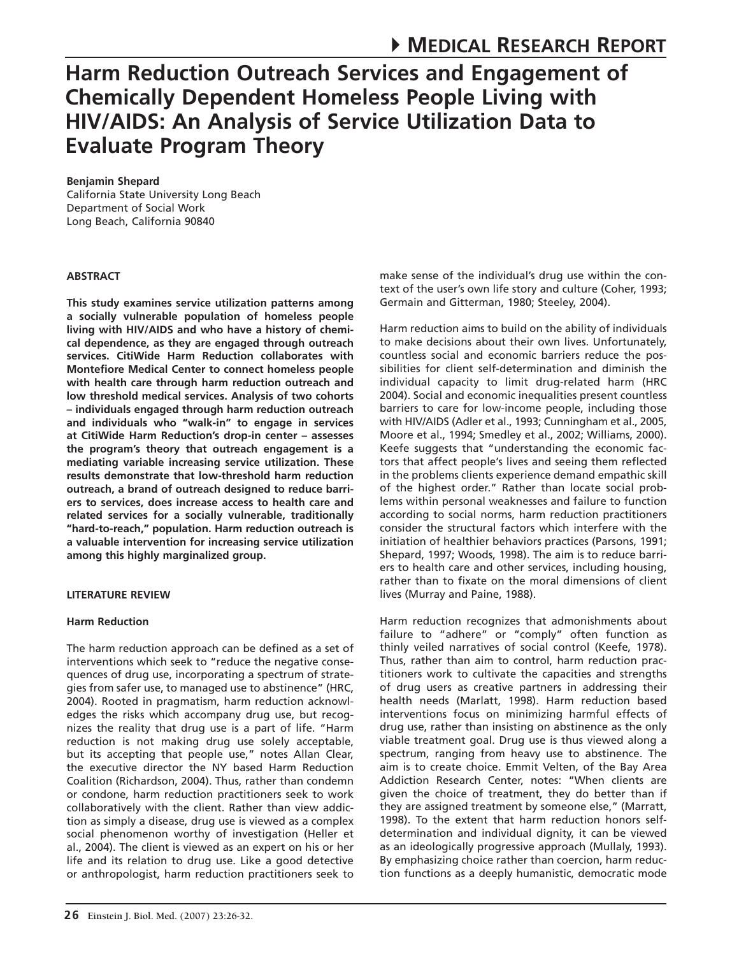# **Harm Reduction Outreach Services and Engagement of Chemically Dependent Homeless People Living with HIV/AIDS: An Analysis of Service Utilization Data to Evaluate Program Theory**

# **Benjamin Shepard**

California State University Long Beach Department of Social Work Long Beach, California 90840

# **ABSTRACT**

**This study examines service utilization patterns among a socially vulnerable population of homeless people living with HIV/AIDS and who have a history of chemical dependence, as they are engaged through outreach services. CitiWide Harm Reduction collaborates with Montefiore Medical Center to connect homeless people with health care through harm reduction outreach and low threshold medical services. Analysis of two cohorts – individuals engaged through harm reduction outreach and individuals who "walk-in" to engage in services at CitiWide Harm Reduction's drop-in center – assesses the program's theory that outreach engagement is a mediating variable increasing service utilization. These results demonstrate that low-threshold harm reduction outreach, a brand of outreach designed to reduce barriers to services, does increase access to health care and related services for a socially vulnerable, traditionally "hard-to-reach," population. Harm reduction outreach is a valuable intervention for increasing service utilization among this highly marginalized group.**

# **LITERATURE REVIEW**

# **Harm Reduction**

The harm reduction approach can be defined as a set of interventions which seek to "reduce the negative consequences of drug use, incorporating a spectrum of strategies from safer use, to managed use to abstinence" (HRC, 2004). Rooted in pragmatism, harm reduction acknowledges the risks which accompany drug use, but recognizes the reality that drug use is a part of life. "Harm reduction is not making drug use solely acceptable, but its accepting that people use," notes Allan Clear, the executive director the NY based Harm Reduction Coalition (Richardson, 2004). Thus, rather than condemn or condone, harm reduction practitioners seek to work collaboratively with the client. Rather than view addiction as simply a disease, drug use is viewed as a complex social phenomenon worthy of investigation (Heller et al., 2004). The client is viewed as an expert on his or her life and its relation to drug use. Like a good detective or anthropologist, harm reduction practitioners seek to make sense of the individual's drug use within the context of the user's own life story and culture (Coher, 1993; Germain and Gitterman, 1980; Steeley, 2004).

Harm reduction aims to build on the ability of individuals to make decisions about their own lives. Unfortunately, countless social and economic barriers reduce the possibilities for client self-determination and diminish the individual capacity to limit drug-related harm (HRC 2004). Social and economic inequalities present countless barriers to care for low-income people, including those with HIV/AIDS (Adler et al., 1993; Cunningham et al., 2005, Moore et al., 1994; Smedley et al., 2002; Williams, 2000). Keefe suggests that "understanding the economic factors that affect people's lives and seeing them reflected in the problems clients experience demand empathic skill of the highest order." Rather than locate social problems within personal weaknesses and failure to function according to social norms, harm reduction practitioners consider the structural factors which interfere with the initiation of healthier behaviors practices (Parsons, 1991; Shepard, 1997; Woods, 1998). The aim is to reduce barriers to health care and other services, including housing, rather than to fixate on the moral dimensions of client lives (Murray and Paine, 1988).

Harm reduction recognizes that admonishments about failure to "adhere" or "comply" often function as thinly veiled narratives of social control (Keefe, 1978). Thus, rather than aim to control, harm reduction practitioners work to cultivate the capacities and strengths of drug users as creative partners in addressing their health needs (Marlatt, 1998). Harm reduction based interventions focus on minimizing harmful effects of drug use, rather than insisting on abstinence as the only viable treatment goal. Drug use is thus viewed along a spectrum, ranging from heavy use to abstinence. The aim is to create choice. Emmit Velten, of the Bay Area Addiction Research Center, notes: "When clients are given the choice of treatment, they do better than if they are assigned treatment by someone else," (Marratt, 1998). To the extent that harm reduction honors selfdetermination and individual dignity, it can be viewed as an ideologically progressive approach (Mullaly, 1993). By emphasizing choice rather than coercion, harm reduction functions as a deeply humanistic, democratic mode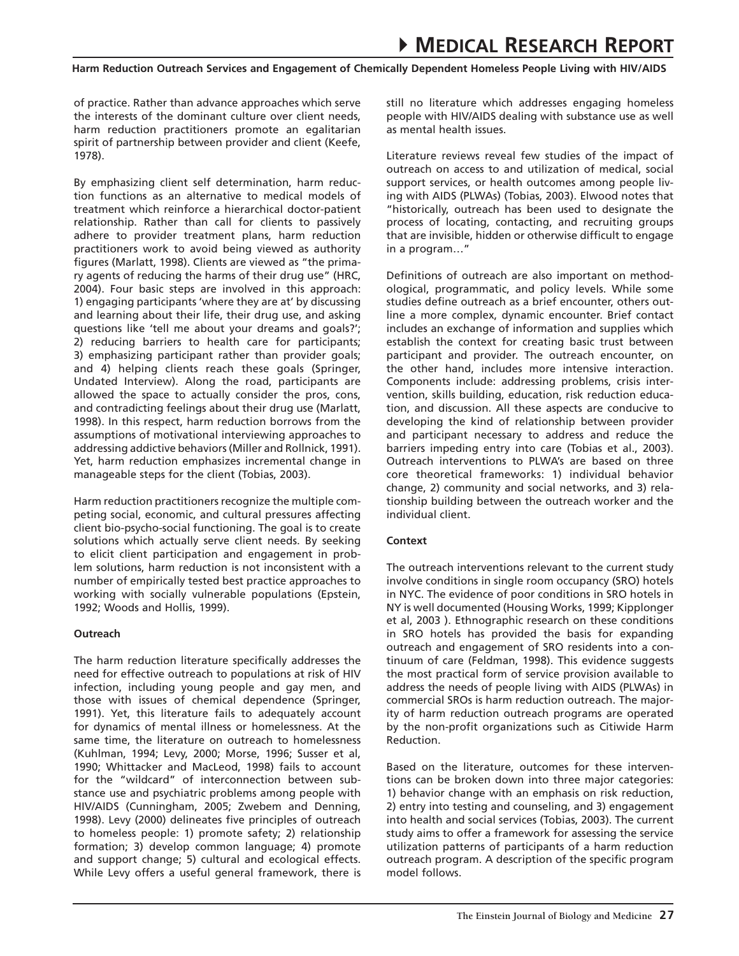of practice. Rather than advance approaches which serve the interests of the dominant culture over client needs, harm reduction practitioners promote an egalitarian spirit of partnership between provider and client (Keefe, 1978).

By emphasizing client self determination, harm reduction functions as an alternative to medical models of treatment which reinforce a hierarchical doctor-patient relationship. Rather than call for clients to passively adhere to provider treatment plans, harm reduction practitioners work to avoid being viewed as authority figures (Marlatt, 1998). Clients are viewed as "the primary agents of reducing the harms of their drug use" (HRC, 2004). Four basic steps are involved in this approach: 1) engaging participants 'where they are at' by discussing and learning about their life, their drug use, and asking questions like 'tell me about your dreams and goals?'; 2) reducing barriers to health care for participants; 3) emphasizing participant rather than provider goals; and 4) helping clients reach these goals (Springer, Undated Interview). Along the road, participants are allowed the space to actually consider the pros, cons, and contradicting feelings about their drug use (Marlatt, 1998). In this respect, harm reduction borrows from the assumptions of motivational interviewing approaches to addressing addictive behaviors (Miller and Rollnick, 1991). Yet, harm reduction emphasizes incremental change in manageable steps for the client (Tobias, 2003).

Harm reduction practitioners recognize the multiple competing social, economic, and cultural pressures affecting client bio-psycho-social functioning. The goal is to create solutions which actually serve client needs. By seeking to elicit client participation and engagement in problem solutions, harm reduction is not inconsistent with a number of empirically tested best practice approaches to working with socially vulnerable populations (Epstein, 1992; Woods and Hollis, 1999).

# **Outreach**

The harm reduction literature specifically addresses the need for effective outreach to populations at risk of HIV infection, including young people and gay men, and those with issues of chemical dependence (Springer, 1991). Yet, this literature fails to adequately account for dynamics of mental illness or homelessness. At the same time, the literature on outreach to homelessness (Kuhlman, 1994; Levy, 2000; Morse, 1996; Susser et al, 1990; Whittacker and MacLeod, 1998) fails to account for the "wildcard" of interconnection between substance use and psychiatric problems among people with HIV/AIDS (Cunningham, 2005; Zwebem and Denning, 1998). Levy (2000) delineates five principles of outreach to homeless people: 1) promote safety; 2) relationship formation; 3) develop common language; 4) promote and support change; 5) cultural and ecological effects. While Levy offers a useful general framework, there is

still no literature which addresses engaging homeless people with HIV/AIDS dealing with substance use as well as mental health issues.

Literature reviews reveal few studies of the impact of outreach on access to and utilization of medical, social support services, or health outcomes among people living with AIDS (PLWAs) (Tobias, 2003). Elwood notes that "historically, outreach has been used to designate the process of locating, contacting, and recruiting groups that are invisible, hidden or otherwise difficult to engage in a program…"

Definitions of outreach are also important on methodological, programmatic, and policy levels. While some studies define outreach as a brief encounter, others outline a more complex, dynamic encounter. Brief contact includes an exchange of information and supplies which establish the context for creating basic trust between participant and provider. The outreach encounter, on the other hand, includes more intensive interaction. Components include: addressing problems, crisis intervention, skills building, education, risk reduction education, and discussion. All these aspects are conducive to developing the kind of relationship between provider and participant necessary to address and reduce the barriers impeding entry into care (Tobias et al., 2003). Outreach interventions to PLWA's are based on three core theoretical frameworks: 1) individual behavior change, 2) community and social networks, and 3) relationship building between the outreach worker and the individual client.

# **Context**

The outreach interventions relevant to the current study involve conditions in single room occupancy (SRO) hotels in NYC. The evidence of poor conditions in SRO hotels in NY is well documented (Housing Works, 1999; Kipplonger et al, 2003 ). Ethnographic research on these conditions in SRO hotels has provided the basis for expanding outreach and engagement of SRO residents into a continuum of care (Feldman, 1998). This evidence suggests the most practical form of service provision available to address the needs of people living with AIDS (PLWAs) in commercial SROs is harm reduction outreach. The majority of harm reduction outreach programs are operated by the non-profit organizations such as Citiwide Harm Reduction.

Based on the literature, outcomes for these interventions can be broken down into three major categories: 1) behavior change with an emphasis on risk reduction, 2) entry into testing and counseling, and 3) engagement into health and social services (Tobias, 2003). The current study aims to offer a framework for assessing the service utilization patterns of participants of a harm reduction outreach program. A description of the specific program model follows.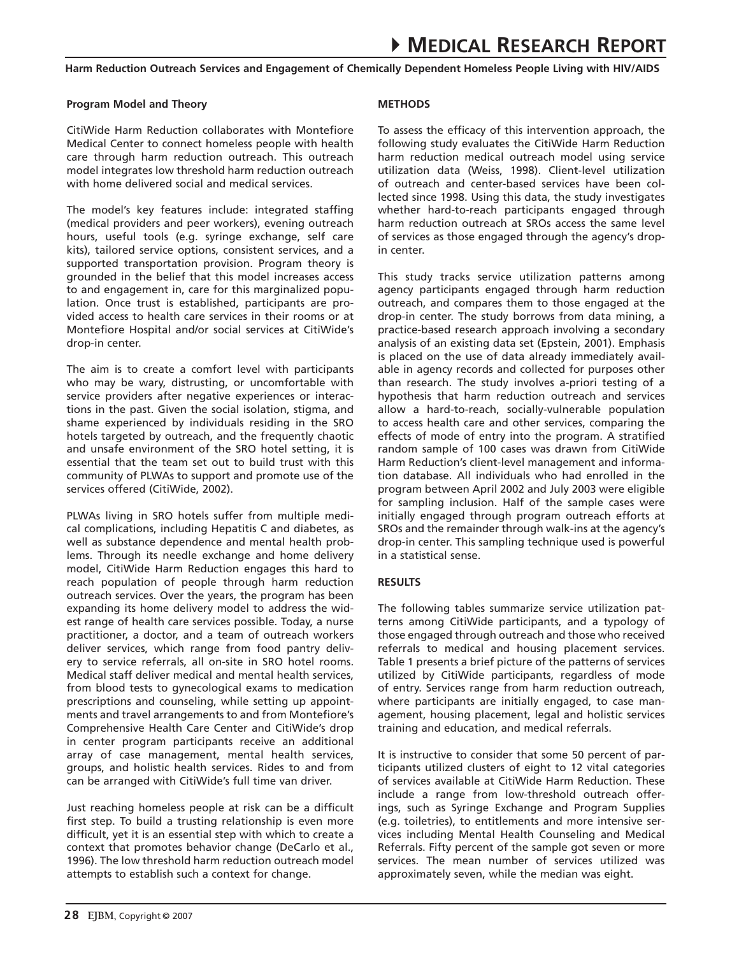# **Program Model and Theory**

CitiWide Harm Reduction collaborates with Montefiore Medical Center to connect homeless people with health care through harm reduction outreach. This outreach model integrates low threshold harm reduction outreach with home delivered social and medical services.

The model's key features include: integrated staffing (medical providers and peer workers), evening outreach hours, useful tools (e.g. syringe exchange, self care kits), tailored service options, consistent services, and a supported transportation provision. Program theory is grounded in the belief that this model increases access to and engagement in, care for this marginalized population. Once trust is established, participants are provided access to health care services in their rooms or at Montefiore Hospital and/or social services at CitiWide's drop-in center.

The aim is to create a comfort level with participants who may be wary, distrusting, or uncomfortable with service providers after negative experiences or interactions in the past. Given the social isolation, stigma, and shame experienced by individuals residing in the SRO hotels targeted by outreach, and the frequently chaotic and unsafe environment of the SRO hotel setting, it is essential that the team set out to build trust with this community of PLWAs to support and promote use of the services offered (CitiWide, 2002).

PLWAs living in SRO hotels suffer from multiple medical complications, including Hepatitis C and diabetes, as well as substance dependence and mental health problems. Through its needle exchange and home delivery model, CitiWide Harm Reduction engages this hard to reach population of people through harm reduction outreach services. Over the years, the program has been expanding its home delivery model to address the widest range of health care services possible. Today, a nurse practitioner, a doctor, and a team of outreach workers deliver services, which range from food pantry delivery to service referrals, all on-site in SRO hotel rooms. Medical staff deliver medical and mental health services, from blood tests to gynecological exams to medication prescriptions and counseling, while setting up appointments and travel arrangements to and from Montefiore's Comprehensive Health Care Center and CitiWide's drop in center program participants receive an additional array of case management, mental health services, groups, and holistic health services. Rides to and from can be arranged with CitiWide's full time van driver.

Just reaching homeless people at risk can be a difficult first step. To build a trusting relationship is even more difficult, yet it is an essential step with which to create a context that promotes behavior change (DeCarlo et al., 1996). The low threshold harm reduction outreach model attempts to establish such a context for change.

# **Methods**

To assess the efficacy of this intervention approach, the following study evaluates the CitiWide Harm Reduction harm reduction medical outreach model using service utilization data (Weiss, 1998). Client-level utilization of outreach and center-based services have been collected since 1998. Using this data, the study investigates whether hard-to-reach participants engaged through harm reduction outreach at SROs access the same level of services as those engaged through the agency's dropin center.

This study tracks service utilization patterns among agency participants engaged through harm reduction outreach, and compares them to those engaged at the drop-in center. The study borrows from data mining, a practice-based research approach involving a secondary analysis of an existing data set (Epstein, 2001). Emphasis is placed on the use of data already immediately available in agency records and collected for purposes other than research. The study involves a-priori testing of a hypothesis that harm reduction outreach and services allow a hard-to-reach, socially-vulnerable population to access health care and other services, comparing the effects of mode of entry into the program. A stratified random sample of 100 cases was drawn from CitiWide Harm Reduction's client-level management and information database. All individuals who had enrolled in the program between April 2002 and July 2003 were eligible for sampling inclusion. Half of the sample cases were initially engaged through program outreach efforts at SROs and the remainder through walk-ins at the agency's drop-in center. This sampling technique used is powerful in a statistical sense.

# **Results**

The following tables summarize service utilization patterns among CitiWide participants, and a typology of those engaged through outreach and those who received referrals to medical and housing placement services. Table 1 presents a brief picture of the patterns of services utilized by CitiWide participants, regardless of mode of entry. Services range from harm reduction outreach, where participants are initially engaged, to case management, housing placement, legal and holistic services training and education, and medical referrals.

It is instructive to consider that some 50 percent of participants utilized clusters of eight to 12 vital categories of services available at CitiWide Harm Reduction. These include a range from low-threshold outreach offerings, such as Syringe Exchange and Program Supplies (e.g. toiletries), to entitlements and more intensive services including Mental Health Counseling and Medical Referrals. Fifty percent of the sample got seven or more services. The mean number of services utilized was approximately seven, while the median was eight.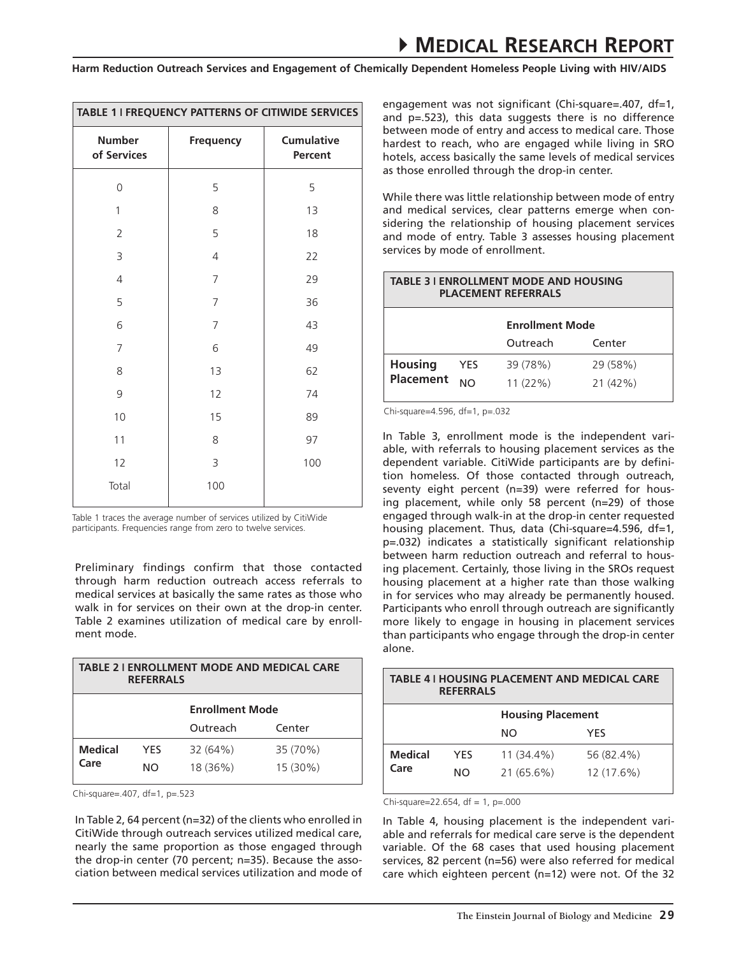| TABLE 1 I FREQUENCY PATTERNS OF CITIWIDE SERVICES |                |                              |  |
|---------------------------------------------------|----------------|------------------------------|--|
| <b>Number</b><br>of Services                      | Frequency      | <b>Cumulative</b><br>Percent |  |
| $\overline{0}$                                    | 5              | 5                            |  |
| $\mathbf{1}$                                      | 8              | 13                           |  |
| $\overline{2}$                                    | 5              | 18                           |  |
| 3                                                 | $\overline{4}$ | 22                           |  |
| $\overline{4}$                                    | 7              | 29                           |  |
| 5                                                 | $\overline{7}$ | 36                           |  |
| 6                                                 | $\overline{7}$ | 43                           |  |
| 7                                                 | 6              | 49                           |  |
| 8                                                 | 13             | 62                           |  |
| 9                                                 | 12             | 74                           |  |
| 10                                                | 15             | 89                           |  |
| 11                                                | 8              | 97                           |  |
| 12                                                | 3              | 100                          |  |
| Total                                             | 100            |                              |  |

Table 1 traces the average number of services utilized by CitiWide participants. Frequencies range from zero to twelve services.

Preliminary findings confirm that those contacted through harm reduction outreach access referrals to medical services at basically the same rates as those who walk in for services on their own at the drop-in center. Table 2 examines utilization of medical care by enrollment mode.

| <b>TABLE 2 I ENROLLMENT MODE AND MEDICAL CARE</b><br><b>REFERRALS</b> |            |                        |          |
|-----------------------------------------------------------------------|------------|------------------------|----------|
|                                                                       |            | <b>Enrollment Mode</b> |          |
|                                                                       |            | Outreach               | Center   |
| <b>Medical</b>                                                        | <b>YES</b> | 32 (64%)               | 35 (70%) |
| Care                                                                  | NΟ         | 18 (36%)               | 15 (30%) |

In Table 2, 64 percent (n=32) of the clients who enrolled in CitiWide through outreach services utilized medical care, nearly the same proportion as those engaged through the drop-in center (70 percent; n=35). Because the association between medical services utilization and mode of engagement was not significant (Chi-square=.407, df=1, and p=.523), this data suggests there is no difference between mode of entry and access to medical care. Those hardest to reach, who are engaged while living in SRO hotels, access basically the same levels of medical services as those enrolled through the drop-in center.

While there was little relationship between mode of entry and medical services, clear patterns emerge when considering the relationship of housing placement services and mode of entry. Table 3 assesses housing placement services by mode of enrollment.

| <b>TABLE 3   ENROLLMENT MODE AND HOUSING</b><br><b>PLACEMENT REFERRALS</b> |                |                        |          |
|----------------------------------------------------------------------------|----------------|------------------------|----------|
|                                                                            |                | <b>Enrollment Mode</b> |          |
|                                                                            |                | Outreach               | Center   |
| <b>Housing</b><br><b>Placement</b>                                         | YES            | 39 (78%)               | 29 (58%) |
|                                                                            | N <sub>O</sub> | 11(22%)                | 21 (42%) |

Chi-square=4.596, df=1, p=.032

In Table 3, enrollment mode is the independent variable, with referrals to housing placement services as the dependent variable. CitiWide participants are by definition homeless. Of those contacted through outreach, seventy eight percent (n=39) were referred for housing placement, while only 58 percent (n=29) of those engaged through walk-in at the drop-in center requested housing placement. Thus, data (Chi-square=4.596, df=1, p=.032) indicates a statistically significant relationship between harm reduction outreach and referral to housing placement. Certainly, those living in the SROs request housing placement at a higher rate than those walking in for services who may already be permanently housed. Participants who enroll through outreach are significantly more likely to engage in housing in placement services than participants who engage through the drop-in center alone.

| TABLE 4 I HOUSING PLACEMENT AND MEDICAL CARE<br><b>REFERRALS</b> |            |                          |            |
|------------------------------------------------------------------|------------|--------------------------|------------|
|                                                                  |            | <b>Housing Placement</b> |            |
|                                                                  |            | NO.                      | YFS        |
| <b>Medical</b><br>Care                                           | <b>YES</b> | 11 (34.4%)               | 56 (82.4%) |
|                                                                  | NO.        | $21(65.6\%)$             | 12 (17.6%) |
|                                                                  |            |                          |            |

Chi-square=.407, df=1, p=.523<br>Chi-square=22.654, df = 1, p=.000

In Table 4, housing placement is the independent variable and referrals for medical care serve is the dependent variable. Of the 68 cases that used housing placement services, 82 percent (n=56) were also referred for medical care which eighteen percent (n=12) were not. Of the 32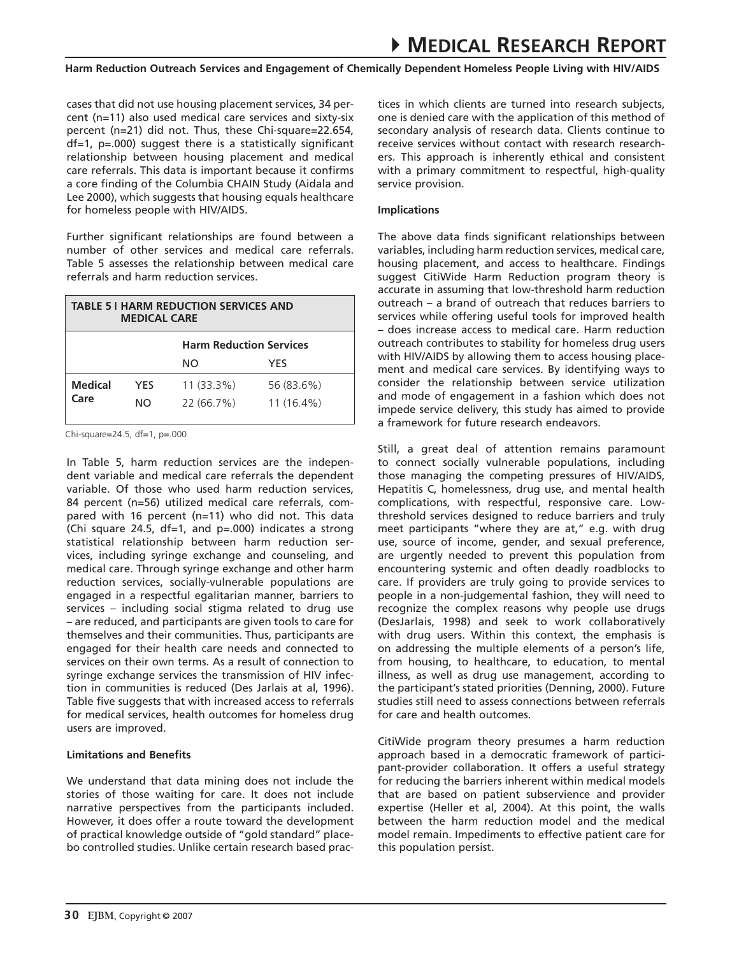cases that did not use housing placement services, 34 percent (n=11) also used medical care services and sixty-six percent (n=21) did not. Thus, these Chi-square=22.654, df=1, p=.000) suggest there is a statistically significant relationship between housing placement and medical care referrals. This data is important because it confirms a core finding of the Columbia CHAIN Study (Aidala and Lee 2000), which suggests that housing equals healthcare for homeless people with HIV/AIDS.

Further significant relationships are found between a number of other services and medical care referrals. Table 5 assesses the relationship between medical care referrals and harm reduction services.

| TABLE 5 I HARM REDUCTION SERVICES AND<br><b>MEDICAL CARE</b> |            |                                |              |  |
|--------------------------------------------------------------|------------|--------------------------------|--------------|--|
|                                                              |            | <b>Harm Reduction Services</b> |              |  |
|                                                              |            | NO.                            | YFS          |  |
| <b>Medical</b><br>Care                                       | <b>YES</b> | $11(33.3\%)$                   | 56 (83.6%)   |  |
|                                                              | NO.        | 22 (66.7%)                     | $11(16.4\%)$ |  |
|                                                              |            |                                |              |  |

 $Chi-square=24.5, df=1, p=.000$ 

In Table 5, harm reduction services are the independent variable and medical care referrals the dependent variable. Of those who used harm reduction services, 84 percent (n=56) utilized medical care referrals, compared with 16 percent (n=11) who did not. This data (Chi square 24.5, df=1, and p=.000) indicates a strong statistical relationship between harm reduction services, including syringe exchange and counseling, and medical care. Through syringe exchange and other harm reduction services, socially-vulnerable populations are engaged in a respectful egalitarian manner, barriers to services – including social stigma related to drug use – are reduced, and participants are given tools to care for themselves and their communities. Thus, participants are engaged for their health care needs and connected to services on their own terms. As a result of connection to syringe exchange services the transmission of HIV infection in communities is reduced (Des Jarlais at al, 1996). Table five suggests that with increased access to referrals for medical services, health outcomes for homeless drug users are improved.

# **Limitations and Benefits**

We understand that data mining does not include the stories of those waiting for care. It does not include narrative perspectives from the participants included. However, it does offer a route toward the development of practical knowledge outside of "gold standard" placebo controlled studies. Unlike certain research based practices in which clients are turned into research subjects, one is denied care with the application of this method of secondary analysis of research data. Clients continue to receive services without contact with research researchers. This approach is inherently ethical and consistent with a primary commitment to respectful, high-quality service provision.

# **Implications**

The above data finds significant relationships between variables, including harm reduction services, medical care, housing placement, and access to healthcare. Findings suggest CitiWide Harm Reduction program theory is accurate in assuming that low-threshold harm reduction outreach – a brand of outreach that reduces barriers to services while offering useful tools for improved health – does increase access to medical care. Harm reduction outreach contributes to stability for homeless drug users with HIV/AIDS by allowing them to access housing placement and medical care services. By identifying ways to consider the relationship between service utilization and mode of engagement in a fashion which does not impede service delivery, this study has aimed to provide a framework for future research endeavors.

Still, a great deal of attention remains paramount to connect socially vulnerable populations, including those managing the competing pressures of HIV/AIDS, Hepatitis C, homelessness, drug use, and mental health complications, with respectful, responsive care. Lowthreshold services designed to reduce barriers and truly meet participants "where they are at," e.g. with drug use, source of income, gender, and sexual preference, are urgently needed to prevent this population from encountering systemic and often deadly roadblocks to care. If providers are truly going to provide services to people in a non-judgemental fashion, they will need to recognize the complex reasons why people use drugs (DesJarlais, 1998) and seek to work collaboratively with drug users. Within this context, the emphasis is on addressing the multiple elements of a person's life, from housing, to healthcare, to education, to mental illness, as well as drug use management, according to the participant's stated priorities (Denning, 2000). Future studies still need to assess connections between referrals for care and health outcomes.

CitiWide program theory presumes a harm reduction approach based in a democratic framework of participant-provider collaboration. It offers a useful strategy for reducing the barriers inherent within medical models that are based on patient subservience and provider expertise (Heller et al, 2004). At this point, the walls between the harm reduction model and the medical model remain. Impediments to effective patient care for this population persist.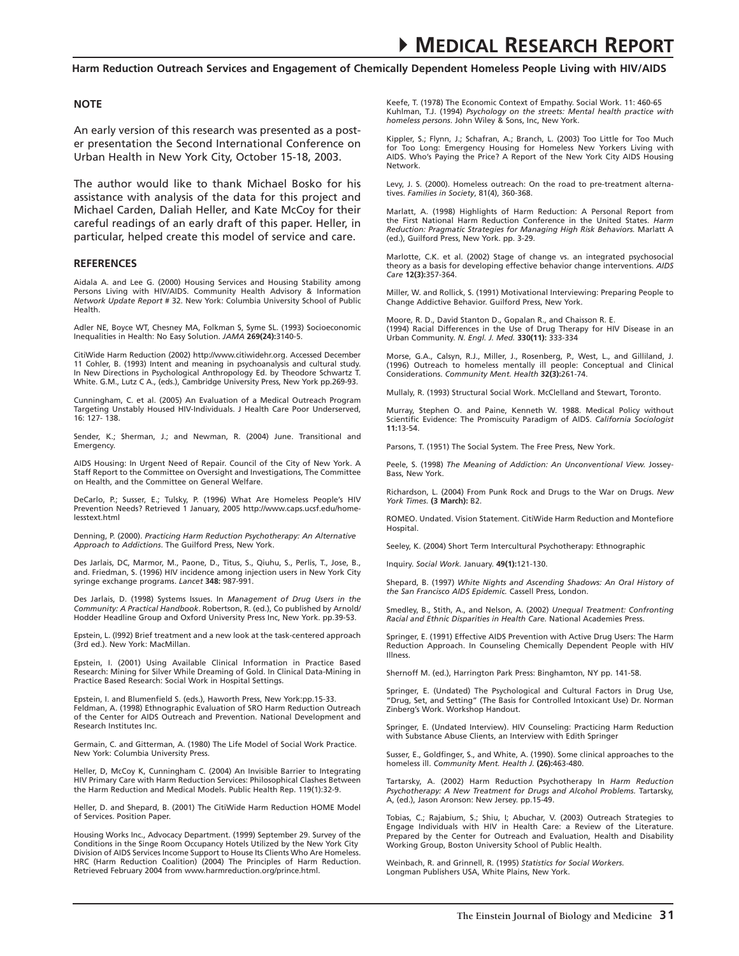#### **NOTE**

An early version of this research was presented as a poster presentation the Second International Conference on Urban Health in New York City, October 15-18, 2003.

The author would like to thank Michael Bosko for his assistance with analysis of the data for this project and Michael Carden, Daliah Heller, and Kate McCoy for their careful readings of an early draft of this paper. Heller, in particular, helped create this model of service and care.

#### **REFERENCES**

Aidala A. and Lee G. (2000) Housing Services and Housing Stability among Persons Living with HIV/AIDS. Community Health Advisory & Information *Network Update Report* # 32. New York: Columbia University School of Public Health.

Adler NE, Boyce WT, Chesney MA, Folkman S, Syme SL. (1993) Socioeconomic Inequalities in Health: No Easy Solution. *JAMA* **269(24):**3140-5.

CitiWide Harm Reduction (2002) http://www.citiwidehr.org. Accessed December 11 Cohler, B. (1993) Intent and meaning in psychoanalysis and cultural study. In New Directions in Psychological Anthropology Ed. by Theodore Schwartz T. White. G.M., Lutz C A., (eds.), Cambridge University Press, New York pp.269-93.

Cunningham, C. et al. (2005) An Evaluation of a Medical Outreach Program Targeting Unstably Housed HIV-Individuals. J Health Care Poor Underserved, 16: 127- 138.

Sender, K.; Sherman, J.; and Newman, R. (2004) June. Transitional and Emergency.

AIDS Housing: In Urgent Need of Repair. Council of the City of New York. A Staff Report to the Committee on Oversight and Investigations, The Committee on Health, and the Committee on General Welfare.

DeCarlo, P.; Susser, E.; Tulsky, P. (1996) What Are Homeless People's HIV Prevention Needs? Retrieved 1 January, 2005 http://www.caps.ucsf.edu/homelesstext.html

Denning, P. (2000). *Practicing Harm Reduction Psychotherapy: An Alternative Approach to Addictions*. The Guilford Press, New York.

Des Jarlais, DC, Marmor, M., Paone, D., Titus, S., Qiuhu, S., Perlis, T., Jose, B., and. Friedman, S. (1996) HIV incidence among injection users in New York City syringe exchange programs. *Lancet* **348:** 987-991.

Des Jarlais, D. (1998) Systems Issues. In *Management of Drug Users in the Community: A Practical Handbook*. Robertson, R. (ed.), Co published by Arnold/ Hodder Headline Group and Oxford University Press Inc, New York. pp.39-53.

Epstein, L. (l992) Brief treatment and a new look at the task-centered approach (3rd ed.). New York: MacMillan.

Epstein, I. (2001) Using Available Clinical Information in Practice Based Research: Mining for Silver While Dreaming of Gold. In Clinical Data-Mining in Practice Based Research: Social Work in Hospital Settings.

Epstein, I. and Blumenfield S. (eds.), Haworth Press, New York:pp.15-33. Feldman, A. (1998) Ethnographic Evaluation of SRO Harm Reduction Outreach of the Center for AIDS Outreach and Prevention. National Development and Research Institutes Inc.

Germain, C. and Gitterman, A. (1980) The Life Model of Social Work Practice. New York: Columbia University Press.

Heller, D, McCoy K, Cunningham C. (2004) An Invisible Barrier to Integrating HIV Primary Care with Harm Reduction Services: Philosophical Clashes Between the Harm Reduction and Medical Models. Public Health Rep. 119(1):32-9.

Heller, D. and Shepard, B. (2001) The CitiWide Harm Reduction HOME Model of Services. Position Paper.

Housing Works Inc., Advocacy Department. (1999) September 29. Survey of the Conditions in the Singe Room Occupancy Hotels Utilized by the New York City Division of AIDS Services Income Support to House Its Clients Who Are Homeless. HRC (Harm Reduction Coalition) (2004) The Principles of Harm Reduction. Retrieved February 2004 from www.harmreduction.org/prince.html.

Keefe, T. (1978) The Economic Context of Empathy. Social Work. 11: 460-65 Kuhlman, T.J. (1994) *Psychology on the streets: Mental health practice with homeless persons*. John Wiley & Sons, Inc, New York.

Kippler, S.; Flynn, J.; Schafran, A.; Branch, L. (2003) Too Little for Too Much for Too Long: Emergency Housing for Homeless New Yorkers Living with AIDS. Who's Paying the Price? A Report of the New York City AIDS Housing Network.

Levy, J. S. (2000). Homeless outreach: On the road to pre-treatment alternatives. *Families in Society*, 81(4), 360-368.

Marlatt, A. (1998) Highlights of Harm Reduction: A Personal Report from the First National Harm Reduction Conference in the United States. *Harm Reduction: Pragmatic Strategies for Managing High Risk Behaviors.* Marlatt A (ed.), Guilford Press, New York. pp. 3-29.

Marlotte, C.K. et al. (2002) Stage of change vs. an integrated psychosocial theory as a basis for developing effective behavior change interventions. *AIDS Care* **12(3):**357-364.

Miller, W. and Rollick, S. (1991) Motivational Interviewing: Preparing People to Change Addictive Behavior. Guilford Press, New York.

Moore, R. D., David Stanton D., Gopalan R., and Chaisson R. E. (1994) Racial Differences in the Use of Drug Therapy for HIV Disease in an Urban Community. *N. Engl. J. Med.* **330(11):** 333-334

Morse, G.A., Calsyn, R.J., Miller, J., Rosenberg, P., West, L., and Gilliland, J. (1996) Outreach to homeless mentally ill people: Conceptual and Clinical Considerations. *Community Ment. Health* **32(3):**261-74.

Mullaly, R. (1993) Structural Social Work. McClelland and Stewart, Toronto.

Murray, Stephen O. and Paine, Kenneth W. 1988. Medical Policy without Scientific Evidence: The Promiscuity Paradigm of AIDS. *California Sociologist* **11:**13-54.

Parsons, T. (1951) The Social System. The Free Press, New York.

Peele, S. (1998) *The Meaning of Addiction: An Unconventional View.* Jossey-Bass, New York.

Richardson, L. (2004) From Punk Rock and Drugs to the War on Drugs. *New York Times.* **(3 March):** B2.

ROMEO. Undated. Vision Statement. CitiWide Harm Reduction and Montefiore Hospital.

Seeley, K. (2004) Short Term Intercultural Psychotherapy: Ethnographic

Inquiry. *Social Work.* January. **49(1):**121-130.

Shepard, B. (1997) *White Nights and Ascending Shadows: An Oral History of the San Francisco AIDS Epidemic.* Cassell Press, London.

Smedley, B., Stith, A., and Nelson, A. (2002) *Unequal Treatment: Confronting Racial and Ethnic Disparities in Health Care.* National Academies Press.

Springer, E. (1991) Effective AIDS Prevention with Active Drug Users: The Harm Reduction Approach. In Counseling Chemically Dependent People with HIV Illness.

Shernoff M. (ed.), Harrington Park Press: Binghamton, NY pp. 141-58.

Springer, E. (Undated) The Psychological and Cultural Factors in Drug Use, "Drug, Set, and Setting" (The Basis for Controlled Intoxicant Use) Dr. Norman Zinberg's Work. Workshop Handout.

Springer, E. (Undated Interview). HIV Counseling: Practicing Harm Reduction with Substance Abuse Clients, an Interview with Edith Springer

Susser, E., Goldfinger, S., and White, A. (1990). Some clinical approaches to the homeless ill. *Community Ment. Health J.* **(26):**463-480.

Tartarsky, A. (2002) Harm Reduction Psychotherapy In *Harm Reduction Psychotherapy: A New Treatment for Drugs and Alcohol Problems.* Tartarsky, A, (ed.), Jason Aronson: New Jersey. pp.15-49.

Tobias, C.; Rajabium, S.; Shiu, I; Abuchar, V. (2003) Outreach Strategies to Engage Individuals with HIV in Health Care: a Review of the Literature. Prepared by the Center for Outreach and Evaluation, Health and Disability Working Group, Boston University School of Public Health.

Weinbach, R. and Grinnell, R. (1995) *Statistics for Social Workers.* Longman Publishers USA, White Plains, New York.